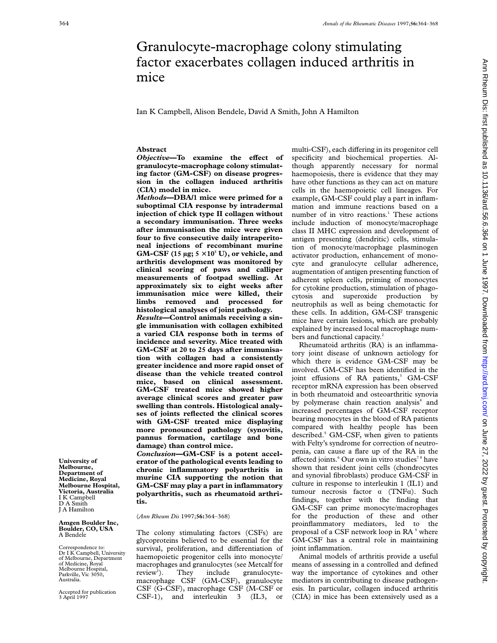# Granulocyte-macrophage colony stimulating factor exacerbates collagen induced arthritis in mice

Ian K Campbell, Alison Bendele, David A Smith, John A Hamilton

## **Abstract**

*Objective*—To examine the effect of **granulocyte-macrophage colony stimulating factor (GM-CSF) on disease progression in the collagen induced arthritis (CIA) model in mice.**

*Methods***—DBA/1 mice were primed for a suboptimal CIA response by intradermal injection of chick type II collagen without a secondary immunisation. Three weeks after immunisation the mice were given four to five consecutive daily intraperitoneal injections of recombinant murine** GM-CSF (15  $\mu$ g; 5  $\times$  10<sup>5</sup> U), or vehicle, and **arthritis development was monitored by clinical scoring of paws and calliper measurements of footpad swelling. At approximately six to eight weeks after immunisation mice were killed, their limbs removed and processed for histological analyses of joint pathology.** *Results***—Control animals receiving a single immunisation with collagen exhibited a varied CIA response both in terms of**

**incidence and severity. Mice treated with GM-CSF at 20 to 25 days after immunisation with collagen had a consistently greater incidence and more rapid onset of disease than the vehicle treated control mice, based on clinical assessment. GM-CSF treated mice showed higher average clinical scores and greater paw swelling than controls. Histological analyses of joints reflected the clinical scores with GM-CSF treated mice displaying more pronounced pathology (synovitis, pannus formation, cartilage and bone damage) than control mice.**

*Conclusion***—GM-CSF is a potent accelerator of the pathological events leading to chronic inflammatory polyarthritis in murine CIA supporting the notion that GM-CSF may play a part in inflammatory polyarthritis, such as rheumatoid arthritis.**

(*Ann Rheum Dis* 1997;**56:**364–368)

The colony stimulating factors (CSFs) are glycoproteins believed to be essential for the survival, proliferation, and differentiation of haemopoietic progenitor cells into monocyte/ macrophages and granulocytes (see Metcalf for  $review<sup>1</sup>$ ). ). They include granulocytemacrophage CSF (GM-CSF), granulocyte CSF (G-CSF), macrophage CSF (M-CSF or CSF-1), and interleukin 3 (IL3, or

multi-CSF), each differing in its progenitor cell specificity and biochemical properties. Although apparently necessary for normal haemopoiesis, there is evidence that they may have other functions as they can act on mature cells in the haemopoietic cell lineages. For example, GM-CSF could play a part in inflammation and immune reactions based on a number of in vitro reactions.<sup>1</sup> These actions include induction of monocyte/macrophage class II MHC expression and development of antigen presenting (dendritic) cells, stimulation of monocyte/macrophage plasminogen activator production, enhancement of monocyte and granulocyte cellular adherence, augmentation of antigen presenting function of adherent spleen cells, priming of monocytes for cytokine production, stimulation of phagocytosis and superoxide production by neutrophils as well as being chemotactic for these cells. In addition, GM-CSF transgenic mice have certain lesions, which are probably explained by increased local macrophage numbers and functional capacity.<sup>2</sup>

Rheumatoid arthritis (RA) is an inflammatory joint disease of unknown aetiology for which there is evidence GM-CSF may be involved. GM-CSF has been identified in the joint effusions of RA patients,<sup>3</sup> GM-CSF receptor mRNA expression has been observed in both rheumatoid and osteoarthritic synovia by polymerase chain reaction analysis<sup>4</sup> and increased percentages of GM-CSF receptor bearing monocytes in the blood of RA patients compared with healthy people has been described. $5$  GM-CSF, when given to patients with Felty's syndrome for correction of neutropenia, can cause a flare up of the RA in the affected joints.<sup>6</sup> Our own in vitro studies<sup>78</sup> have shown that resident joint cells (chondrocytes and synovial fibroblasts) produce GM-CSF in culture in response to interleukin 1 (IL1) and tumour necrosis factor  $\alpha$  (TNF $\alpha$ ). Such findings, together with the finding that GM-CSF can prime monocyte/macrophages for the production of these and other proinflammatory mediators, led to the proposal of a CSF network loop in RA<sup>9</sup> where GM-CSF has a central role in maintaining joint inflammation.

Animal models of arthritis provide a useful means of assessing in a controlled and defined way the importance of cytokines and other mediators in contributing to disease pathogenesis. In particular, collagen induced arthritis (CIA) in mice has been extensively used as a

**University of Melbourne, Department of Medicine, Royal Melbourne Hospital, Victoria, Australia** I K Campbell D A Smith J A Hamilton

**Amgen Boulder Inc, Boulder, CO, USA** A Bendele

Correspondence to: Dr I K Campbell, University of Melbourne, Department of Medicine, Royal Melbourne Hospital, Parkville, Vic 3050, Australia.

Accepted for publication 3 April 1997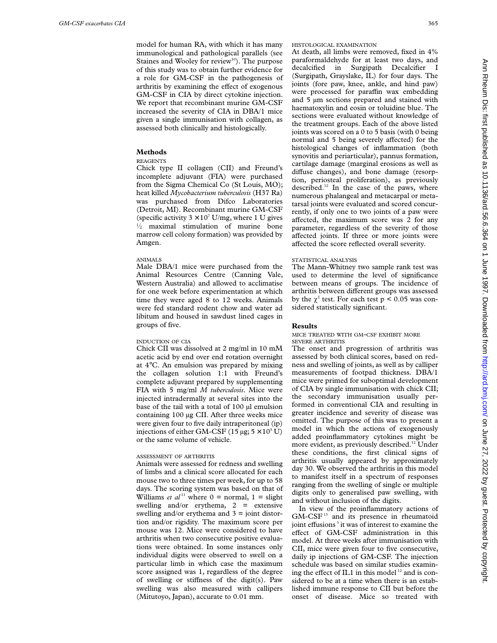model for human RA, with which it has many immunological and pathological parallels (see Staines and Wooley for review<sup>10</sup>). The purpose of this study was to obtain further evidence for a role for GM-CSF in the pathogenesis of arthritis by examining the effect of exogenous GM-CSF in CIA by direct cytokine injection. We report that recombinant murine GM-CSF increased the severity of CIA in DBA/1 mice given a single immunisation with collagen, as assessed both clinically and histologically.

## **Methods**

## REAGENTS

Chick type II collagen (CII) and Freund's incomplete adjuvant (FIA) were purchased from the Sigma Chemical Co (St Louis, MO); heat killed *Mycobacterium tuberculosis* (H37 Ra) was purchased from Difco Laboratories (Detroit, MI). Recombinant murine GM-CSF (specific activity  $3 \times 10^7$  U/mg, where 1 U gives  $\frac{1}{2}$  maximal stimulation of murine bone marrow cell colony formation) was provided by Amgen.

## ANIMALS

Male DBA/1 mice were purchased from the Animal Resources Centre (Canning Vale, Western Australia) and allowed to acclimatise for one week before experimentation at which time they were aged 8 to 12 weeks. Animals were fed standard rodent chow and water ad libitum and housed in sawdust lined cages in groups of five.

#### INDUCTION OF CIA

Chick CII was dissolved at 2 mg/ml in 10 mM acetic acid by end over end rotation overnight at 4°C. An emulsion was prepared by mixing the collagen solution 1:1 with Freund's complete adjuvant prepared by supplementing FIA with 5 mg/ml *M tuberculosis*. Mice were injected intradermally at several sites into the base of the tail with a total of 100 µl emulsion containing 100 µg CII. After three weeks mice were given four to five daily intraperitoneal (ip) injections of either GM-CSF (15 µg;  $5 \times 10^5$  U) or the same volume of vehicle.

## ASSESSMENT OF ARTHRITIS

Animals were assessed for redness and swelling of limbs and a clinical score allocated for each mouse two to three times per week, for up to 58 days. The scoring system was based on that of Williams *et al*<sup>11</sup> where  $0 =$  normal,  $1 =$  slight swelling and/or erythema,  $2 =$  extensive swelling and/or erythema and  $3 =$  joint distortion and/or rigidity. The maximum score per mouse was 12. Mice were considered to have arthritis when two consecutive positive evaluations were obtained. In some instances only individual digits were observed to swell on a particular limb in which case the maximum score assigned was 1, regardless of the degree of swelling or stiffness of the digit(s). Paw swelling was also measured with callipers (Mitutoyo, Japan), accurate to 0.01 mm.

HISTOLOGICAL EXAMINATION

At death, all limbs were removed, fixed in 4% paraformaldehyde for at least two days, and decalcified in Surgipath Decalcifier I (Surgipath, Grayslake, IL) for four days. The joints (fore paw, knee, ankle, and hind paw) were processed for paraffin wax embedding and 5 µm sections prepared and stained with haematoxylin and eosin or toluidine blue. The sections were evaluated without knowledge of the treatment groups. Each of the above listed joints was scored on a 0 to 5 basis (with 0 being normal and 5 being severely affected) for the histological changes of inflammation (both synovitis and periarticular), pannus formation, cartilage damage (marginal erosions as well as diffuse changes), and bone damage (resorption, periosteal proliferation), as previously described.<sup>12</sup> In the case of the paws, where numerous phalangeal and metacarpal or metatarsal joints were evaluated and scored concurrently, if only one to two joints of a paw were affected, the maximum score was 2 for any parameter, regardless of the severity of those affected joints. If three or more joints were affected the score reflected overall severity.

#### STATISTICAL ANALYSIS

The Mann-Whitney two sample rank test was used to determine the level of significance between means of groups. The incidence of arthritis between different groups was assessed by the  $\chi^2$  test. For each test p < 0.05 was considered statistically significant.

### **Results**

#### MICE TREATED WITH GM-CSF EXHIBIT MORE SEVERE ARTHRITIS

The onset and progression of arthritis was assessed by both clinical scores, based on redness and swelling of joints, as well as by calliper measurements of footpad thickness. DBA/1 mice were primed for suboptimal development of CIA by single immunisation with chick CII; the secondary immunisation usually performed in conventional CIA and resulting in greater incidence and severity of disease was omitted. The purpose of this was to present a model in which the actions of exogenously added proinflammatory cytokines might be more evident, as previously described.<sup>12</sup> Under these conditions, the first clinical signs of arthritis usually appeared by approximately day 30. We observed the arthritis in this model to manifest itself in a spectrum of responses ranging from the swelling of single or multiple digits only to generalised paw swelling, with and without inclusion of the digits.

In view of the proinflammatory actions of  $GM-CSF$ <sup>13</sup> and its presence in rheumatoid joint effusions<sup>3</sup> it was of interest to examine the effect of GM-CSF administration in this model. At three weeks after immunisation with CII, mice were given four to five consecutive, daily ip injections of GM-CSF. The injection schedule was based on similar studies examining the effect of IL1 in this model  $12$  and is considered to be at a time when there is an established immune response to CII but before the onset of disease. Mice so treated with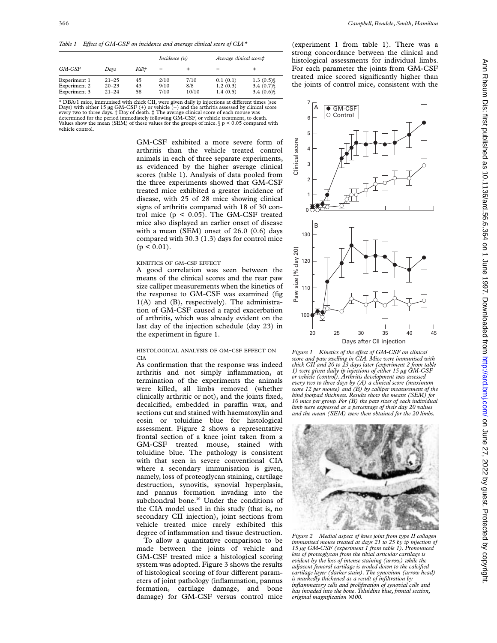Table 1 Effect of GM-CSF on incidence and average clinical score of CIA\*

| GM-CSF       | Davs      | Kill† | Incidence $(n)$ |       | Average clinical score# |             |
|--------------|-----------|-------|-----------------|-------|-------------------------|-------------|
|              |           |       |                 |       |                         |             |
| Experiment 1 | $21 - 25$ | 45    | 2/10            | 7/10  | 0.1(0.1)                | $1.3(0.5)\$ |
| Experiment 2 | $20 - 23$ | 43    | 9/10            | 8/8   | 1.2(0.3)                | $3.4(0.7)\$ |
| Experiment 3 | $21 - 24$ | 58    | 7/10            | 10/10 | 1.4(0.5)                | 3.4 $(0.6)$ |

 $\star$  DBA/1 mice, immunised with chick CII, were given daily ip injections at different times (see Days) with either 15 μg GM-CSF (+) or vehicle (−) and the arthritis assessed by clinical score every two to three days. † Day of death. ‡ The average clinical score of each mouse was<br>determined for the period immediately following GM-CSF, or vehicle treatment, to death.<br>Values show the mean (SEM) of these values for vehicle control.

> GM-CSF exhibited a more severe form of arthritis than the vehicle treated control animals in each of three separate experiments, as evidenced by the higher average clinical scores (table 1). Analysis of data pooled from the three experiments showed that GM-CSF treated mice exhibited a greater incidence of disease, with 25 of 28 mice showing clinical signs of arthritis compared with 18 of 30 control mice (p < 0.05). The GM-CSF treated mice also displayed an earlier onset of disease with a mean (SEM) onset of 26.0 (0.6) days compared with 30.3 (1.3) days for control mice  $(p < 0.01)$ .

#### KINETICS OF GM-CSF EFFECT

A good correlation was seen between the means of the clinical scores and the rear paw size calliper measurements when the kinetics of the response to GM-CSF was examined (fig 1(A) and (B), respectively). The administration of GM-CSF caused a rapid exacerbation of arthritis, which was already evident on the last day of the injection schedule (day 23) in the experiment in figure 1.

#### HISTOLOGICAL ANALYSIS OF GM-CSF EFFECT ON CIA

As confirmation that the response was indeed arthritis and not simply inflammation, at termination of the experiments the animals were killed, all limbs removed (whether clinically arthritic or not), and the joints fixed, decalcified, embedded in paraffin wax, and sections cut and stained with haematoxylin and eosin or toluidine blue for histological assessment. Figure 2 shows a representative frontal section of a knee joint taken from a GM-CSF treated mouse, stained with toluidine blue. The pathology is consistent with that seen in severe conventional CIA where a secondary immunisation is given, namely, loss of proteoglycan staining, cartilage destruction, synovitis, synovial hyperplasia, and pannus formation invading into the subchondral bone.<sup>10</sup> Under the conditions of the CIA model used in this study (that is, no secondary CII injection), joint sections from vehicle treated mice rarely exhibited this degree of inflammation and tissue destruction.

To allow a quantitative comparison to be made between the joints of vehicle and GM-CSF treated mice a histological scoring system was adopted. Figure 3 shows the results of histological scoring of four different parameters of joint pathology (inflammation, pannus formation, cartilage damage, and bone damage) for GM-CSF versus control mice

(experiment 1 from table 1). There was a strong concordance between the clinical and histological assessments for individual limbs. For each parameter the joints from GM-CSF treated mice scored significantly higher than the joints of control mice, consistent with the



*Figure 1 Kinetics of the eVect of GM-CSF on clinical score and paw swelling in CIA. Mice were immunised with chick CII and 20 to 23 days later (experiment 2 from table 1) were given daily ip injections of either 15 µg GM-CSF or vehicle (control). Arthritis development was assessed every two to three days by (A) a clinical score (maximum score 12 per mouse) and (B) by calliper measurement of the hind footpad thickness. Results show the means (SEM) for 10 mice per group. For (B) the paw sizes of each individual limb were expressed as a percentage of their day 20 values and the mean (SEM) were then obtained for the 20 limbs.*



*Figure 2 Medial aspect of knee joint from type II collagen immunised mouse treated at days 21 to 25 by ip injection of 15 µg GM-CSF (experiment 1 from table 1). Pronounced loss of proteoglycan from the tibial articular cartilage is evident by the loss of intense staining (arrow) while the adjacent femoral cartilage is eroded down to the calcified cartilage layer (darker stain). The synovium (arrow head) is markedly thickened as a result of infiltration by inflammatory cells and proliferation of synovial cells and has invaded into the bone. Toluidine blue, frontal section, original magnification* ×*100.*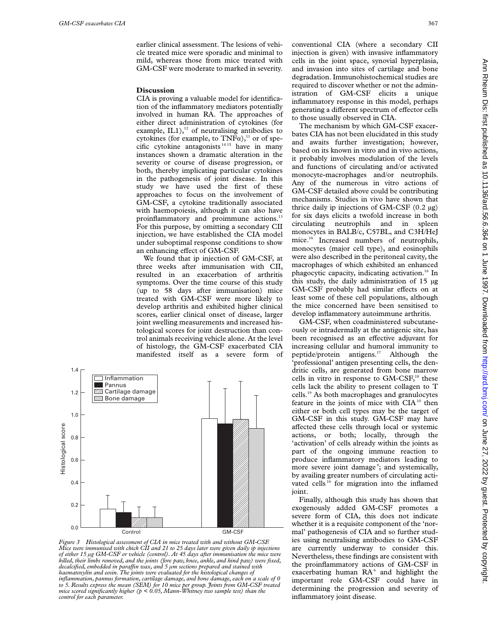earlier clinical assessment. The lesions of vehicle treated mice were sporadic and minimal to mild, whereas those from mice treated with GM-CSF were moderate to marked in severity.

#### **Discussion**

CIA is proving a valuable model for identification of the inflammatory mediators potentially involved in human RA. The approaches of either direct administration of cytokines (for example, IL1), $^{12}$  of neutralising antibodies to cytokines (for example, to  $TNF\alpha$ ),<sup>11</sup> or of specific cytokine antagonists 14 15 have in many instances shown a dramatic alteration in the severity or course of disease progression, or both, thereby implicating particular cytokines in the pathogenesis of joint disease. In this study we have used the first of these approaches to focus on the involvement of GM-CSF, a cytokine traditionally associated with haemopoiesis, although it can also have proinflammatory and proimmune actions.<sup>1</sup> For this purpose, by omitting a secondary CII injection, we have established the CIA model under suboptimal response conditions to show an enhancing effect of GM-CSF.

We found that ip injection of GM-CSF, at three weeks after immunisation with CII, resulted in an exacerbation of arthritis symptoms. Over the time course of this study (up to 58 days after immunisation) mice treated with GM-CSF were more likely to develop arthritis and exhibited higher clinical scores, earlier clinical onset of disease, larger joint swelling measurements and increased histological scores for joint destruction than control animals receiving vehicle alone. At the level of histology, the GM-CSF exacerbated CIA manifested itself as a severe form of



*Figure 3 Histological assessment of CIA in mice treated with and without GM-CSF. Mice were immunised with chick CII and 21 to 25 days later were given daily ip injections of either 15 µg GM-CSF or vehicle (control). At 45 days after immunisation the mice were killed, their limbs removed, and the joints (fore paw, knee, ankle, and hind paw) were fixed, decalcified, embedded in paraYn wax, and 5 µm sections prepared and stained with haematoxylin and eosin. The joints were evaluated for the histological changes of inflammation, pannus formation, cartilage damage, and bone damage, each on a scale of 0 to 5. Results express the mean (SEM) for 10 mice per group. Joints from GM-CSF treated mice scored significantly higher (p < 0.05, Mann-Whitney two sample test) than the control for each parameter.*

conventional CIA (where a secondary CII injection is given) with invasive inflammatory cells in the joint space, synovial hyperplasia, and invasion into sites of cartilage and bone degradation. Immunohistochemical studies are required to discover whether or not the administration of GM-CSF elicits a unique inflammatory response in this model, perhaps generating a different spectrum of effector cells to those usually observed in CIA.

The mechanism by which GM-CSF exacerbates CIA has not been elucidated in this study and awaits further investigation; however, based on its known in vitro and in vivo actions, it probably involves modulation of the levels and functions of circulating and/or activated monocyte-macrophages and/or neutrophils. Any of the numerous in vitro actions of GM-CSF detailed above could be contributing mechanisms. Studies in vivo have shown that thrice daily ip injections of GM-CSF  $(0.2 \mu g)$ for six days elicits a twofold increase in both circulating neutrophils and in spleen monocytes in BALB/c, C57BL, and C3H/HeJ mice.16 Increased numbers of neutrophils, monocytes (major cell type), and eosinophils were also described in the peritoneal cavity, the macrophages of which exhibited an enhanced phagocytic capacity, indicating activation.<sup>16</sup> In this study, the daily administration of 15 µg GM-CSF probably had similar effects on at least some of these cell populations, although the mice concerned have been sensitised to develop inflammatory autoimmune arthritis.

GM-CSF, when coadministered subcutaneously or intradermally at the antigenic site, has been recognised as an effective adjuvant for increasing cellular and humoral immunity to peptide/protein antigens.17 Although the 'professional' antigen presenting cells, the dendritic cells, are generated from bone marrow cells in vitro in response to  $GM-CSF$ ,<sup>18</sup> these cells lack the ability to present collagen to T cells.19 As both macrophages and granulocytes feature in the joints of mice with CIA<sup>10</sup> then either or both cell types may be the target of GM-CSF in this study. GM-CSF may have affected these cells through local or systemic actions, or both; locally, through the 'activation' of cells already within the joints as part of the ongoing immune reaction to produce inflammatory mediators leading to more severe joint damage<sup>9</sup>; and systemically, by availing greater numbers of circulating activated cells<sup>16</sup> for migration into the inflamed joint.

Finally, although this study has shown that exogenously added GM-CSF promotes a severe form of CIA, this does not indicate whether it is a requisite component of the 'normal' pathogenesis of CIA and so further studies using neutralising antibodies to GM-CSF are currently underway to consider this. Nevertheless, these findings are consistent with the proinflammatory actions of GM-CSF in exacerbating human RA<sup>6</sup> and highlight the important role GM-CSF could have in determining the progression and severity of inflammatory joint disease.